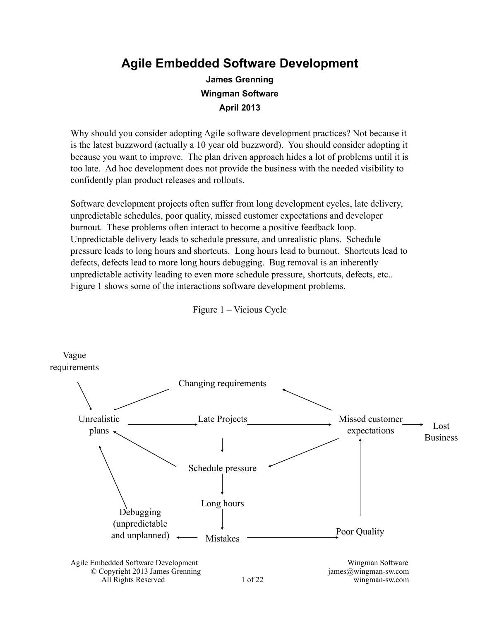### **Agile Embedded Software Development James Grenning Wingman Software April 2013**

Why should you consider adopting Agile software development practices? Not because it is the latest buzzword (actually a 10 year old buzzword). You should consider adopting it because you want to improve. The plan driven approach hides a lot of problems until it is too late. Ad hoc development does not provide the business with the needed visibility to confidently plan product releases and rollouts.

Software development projects often suffer from long development cycles, late delivery, unpredictable schedules, poor quality, missed customer expectations and developer burnout. These problems often interact to become a positive feedback loop. Unpredictable delivery leads to schedule pressure, and unrealistic plans. Schedule pressure leads to long hours and shortcuts. Long hours lead to burnout. Shortcuts lead to defects, defects lead to more long hours debugging. Bug removal is an inherently unpredictable activity leading to even more schedule pressure, shortcuts, defects, etc.. Figure 1 shows some of the interactions software development problems.

Figure 1 – Vicious Cycle

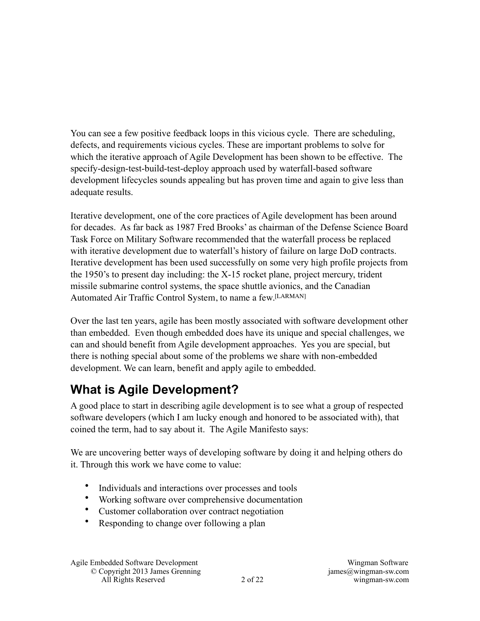You can see a few positive feedback loops in this vicious cycle. There are scheduling, defects, and requirements vicious cycles. These are important problems to solve for which the iterative approach of Agile Development has been shown to be effective. The specify-design-test-build-test-deploy approach used by waterfall-based software development lifecycles sounds appealing but has proven time and again to give less than adequate results.

Iterative development, one of the core practices of Agile development has been around for decades. As far back as 1987 Fred Brooks' as chairman of the Defense Science Board Task Force on Military Software recommended that the waterfall process be replaced with iterative development due to waterfall's history of failure on large DoD contracts. Iterative development has been used successfully on some very high profile projects from the 1950's to present day including: the X-15 rocket plane, project mercury, trident missile submarine control systems, the space shuttle avionics, and the Canadian Automated Air Traffic Control System, to name a few.[LARMAN]

Over the last ten years, agile has been mostly associated with software development other than embedded. Even though embedded does have its unique and special challenges, we can and should benefit from Agile development approaches. Yes you are special, but there is nothing special about some of the problems we share with non-embedded development. We can learn, benefit and apply agile to embedded.

# **What is Agile Development?**

A good place to start in describing agile development is to see what a group of respected software developers (which I am lucky enough and honored to be associated with), that coined the term, had to say about it. The Agile Manifesto says:

We are uncovering better ways of developing software by doing it and helping others do it. Through this work we have come to value:

- Individuals and interactions over processes and tools
- Working software over comprehensive documentation
- Customer collaboration over contract negotiation
- Responding to change over following a plan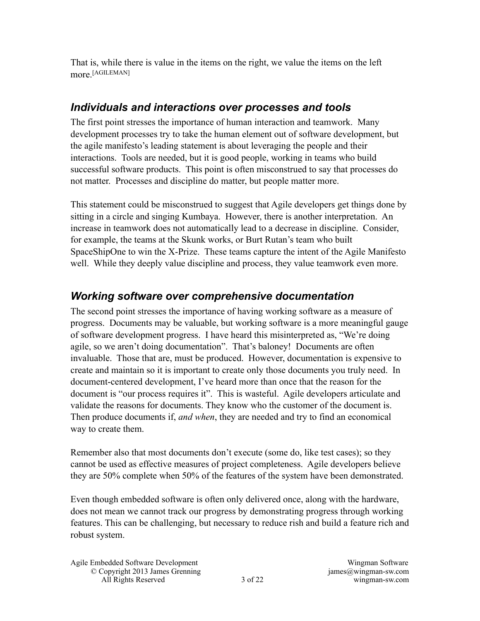That is, while there is value in the items on the right, we value the items on the left more<sup>[AGILEMAN]</sup>

#### *Individuals and interactions over processes and tools*

The first point stresses the importance of human interaction and teamwork. Many development processes try to take the human element out of software development, but the agile manifesto's leading statement is about leveraging the people and their interactions. Tools are needed, but it is good people, working in teams who build successful software products. This point is often misconstrued to say that processes do not matter. Processes and discipline do matter, but people matter more.

This statement could be misconstrued to suggest that Agile developers get things done by sitting in a circle and singing Kumbaya. However, there is another interpretation. An increase in teamwork does not automatically lead to a decrease in discipline. Consider, for example, the teams at the Skunk works, or Burt Rutan's team who built SpaceShipOne to win the X-Prize. These teams capture the intent of the Agile Manifesto well. While they deeply value discipline and process, they value teamwork even more.

#### *Working software over comprehensive documentation*

The second point stresses the importance of having working software as a measure of progress. Documents may be valuable, but working software is a more meaningful gauge of software development progress. I have heard this misinterpreted as, "We're doing agile, so we aren't doing documentation". That's baloney! Documents are often invaluable. Those that are, must be produced. However, documentation is expensive to create and maintain so it is important to create only those documents you truly need. In document-centered development, I've heard more than once that the reason for the document is "our process requires it". This is wasteful. Agile developers articulate and validate the reasons for documents. They know who the customer of the document is. Then produce documents if, *and when*, they are needed and try to find an economical way to create them.

Remember also that most documents don't execute (some do, like test cases); so they cannot be used as effective measures of project completeness. Agile developers believe they are 50% complete when 50% of the features of the system have been demonstrated.

Even though embedded software is often only delivered once, along with the hardware, does not mean we cannot track our progress by demonstrating progress through working features. This can be challenging, but necessary to reduce rish and build a feature rich and robust system.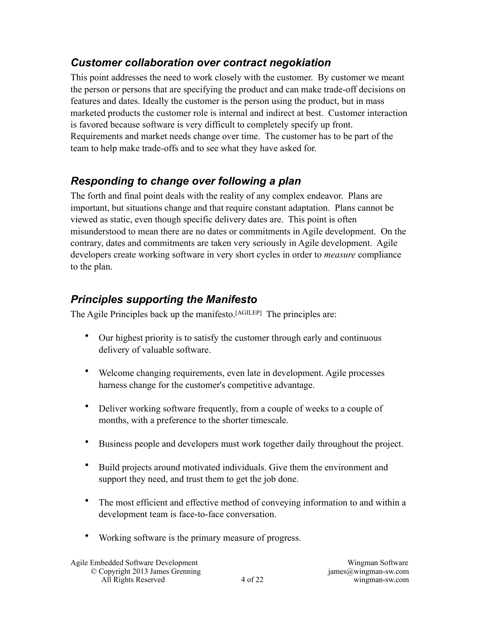#### *Customer collaboration over contract negokiation*

This point addresses the need to work closely with the customer. By customer we meant the person or persons that are specifying the product and can make trade-off decisions on features and dates. Ideally the customer is the person using the product, but in mass marketed products the customer role is internal and indirect at best. Customer interaction is favored because software is very difficult to completely specify up front. Requirements and market needs change over time. The customer has to be part of the team to help make trade-offs and to see what they have asked for.

### *Responding to change over following a plan*

The forth and final point deals with the reality of any complex endeavor. Plans are important, but situations change and that require constant adaptation. Plans cannot be viewed as static, even though specific delivery dates are. This point is often misunderstood to mean there are no dates or commitments in Agile development. On the contrary, dates and commitments are taken very seriously in Agile development. Agile developers create working software in very short cycles in order to *measure* compliance to the plan.

### *Principles supporting the Manifesto*

The Agile Principles back up the manifesto.<sup>[AGILEP]</sup> The principles are:

- Our highest priority is to satisfy the customer through early and continuous delivery of valuable software.
- Welcome changing requirements, even late in development. Agile processes harness change for the customer's competitive advantage.
- Deliver working software frequently, from a couple of weeks to a couple of months, with a preference to the shorter timescale.
- Business people and developers must work together daily throughout the project.
- Build projects around motivated individuals. Give them the environment and support they need, and trust them to get the job done.
- The most efficient and effective method of conveying information to and within a development team is face-to-face conversation.
- Working software is the primary measure of progress.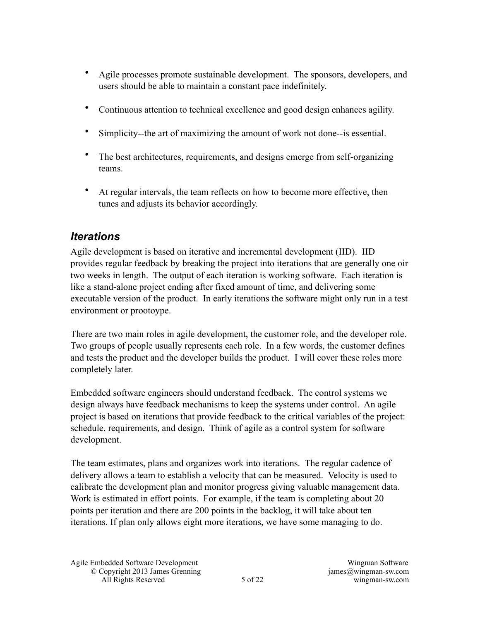- Agile processes promote sustainable development. The sponsors, developers, and users should be able to maintain a constant pace indefinitely.
- Continuous attention to technical excellence and good design enhances agility.
- Simplicity--the art of maximizing the amount of work not done--is essential.
- The best architectures, requirements, and designs emerge from self-organizing teams.
- At regular intervals, the team reflects on how to become more effective, then tunes and adjusts its behavior accordingly.

#### *Iterations*

Agile development is based on iterative and incremental development (IID). IID provides regular feedback by breaking the project into iterations that are generally one oir two weeks in length. The output of each iteration is working software. Each iteration is like a stand-alone project ending after fixed amount of time, and delivering some executable version of the product. In early iterations the software might only run in a test environment or prootoype.

There are two main roles in agile development, the customer role, and the developer role. Two groups of people usually represents each role. In a few words, the customer defines and tests the product and the developer builds the product. I will cover these roles more completely later.

Embedded software engineers should understand feedback. The control systems we design always have feedback mechanisms to keep the systems under control. An agile project is based on iterations that provide feedback to the critical variables of the project: schedule, requirements, and design. Think of agile as a control system for software development.

The team estimates, plans and organizes work into iterations. The regular cadence of delivery allows a team to establish a velocity that can be measured. Velocity is used to calibrate the development plan and monitor progress giving valuable management data. Work is estimated in effort points. For example, if the team is completing about 20 points per iteration and there are 200 points in the backlog, it will take about ten iterations. If plan only allows eight more iterations, we have some managing to do.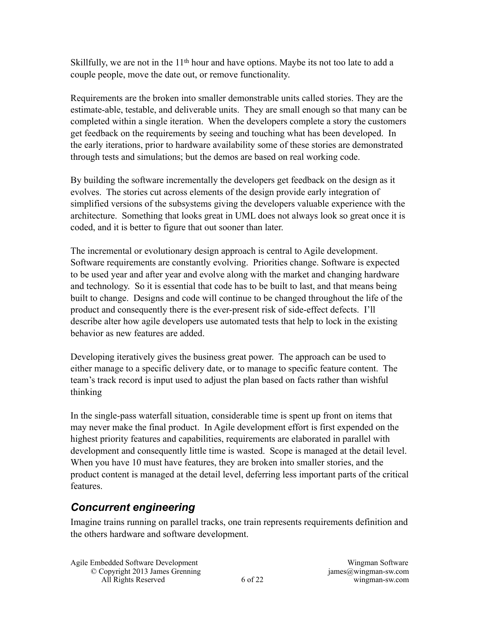Skillfully, we are not in the 11<sup>th</sup> hour and have options. Maybe its not too late to add a couple people, move the date out, or remove functionality.

Requirements are the broken into smaller demonstrable units called stories. They are the estimate-able, testable, and deliverable units. They are small enough so that many can be completed within a single iteration. When the developers complete a story the customers get feedback on the requirements by seeing and touching what has been developed. In the early iterations, prior to hardware availability some of these stories are demonstrated through tests and simulations; but the demos are based on real working code.

By building the software incrementally the developers get feedback on the design as it evolves. The stories cut across elements of the design provide early integration of simplified versions of the subsystems giving the developers valuable experience with the architecture. Something that looks great in UML does not always look so great once it is coded, and it is better to figure that out sooner than later.

The incremental or evolutionary design approach is central to Agile development. Software requirements are constantly evolving. Priorities change. Software is expected to be used year and after year and evolve along with the market and changing hardware and technology. So it is essential that code has to be built to last, and that means being built to change. Designs and code will continue to be changed throughout the life of the product and consequently there is the ever-present risk of side-effect defects. I'll describe alter how agile developers use automated tests that help to lock in the existing behavior as new features are added.

Developing iteratively gives the business great power. The approach can be used to either manage to a specific delivery date, or to manage to specific feature content. The team's track record is input used to adjust the plan based on facts rather than wishful thinking

In the single-pass waterfall situation, considerable time is spent up front on items that may never make the final product. In Agile development effort is first expended on the highest priority features and capabilities, requirements are elaborated in parallel with development and consequently little time is wasted. Scope is managed at the detail level. When you have 10 must have features, they are broken into smaller stories, and the product content is managed at the detail level, deferring less important parts of the critical features.

#### *Concurrent engineering*

Imagine trains running on parallel tracks, one train represents requirements definition and the others hardware and software development.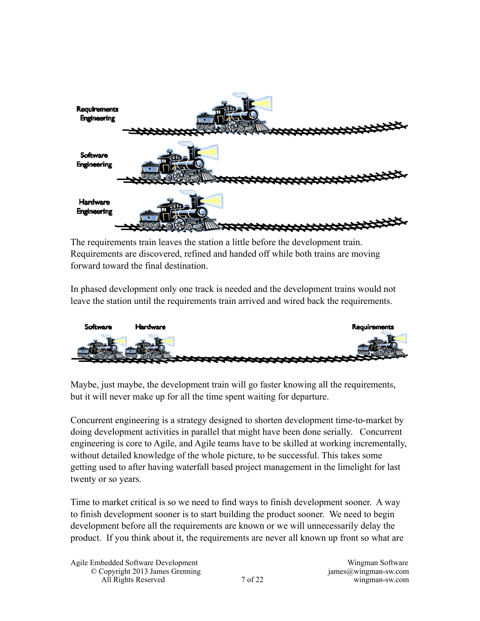

The requirements train leaves the station a little before the development train. Requirements are discovered, refined and handed off while both trains are moving forward toward the final destination.

In phased development only one track is needed and the development trains would not leave the station until the requirements train arrived and wired back the requirements.



Maybe, just maybe, the development train will go faster knowing all the requirements, but it will never make up for all the time spent waiting for departure.

Concurrent engineering is a strategy designed to shorten development time-to-market by doing development activities in parallel that might have been done serially. Concurrent engineering is core to Agile, and Agile teams have to be skilled at working incrementally, without detailed knowledge of the whole picture, to be successful. This takes some getting used to after having waterfall based project management in the limelight for last twenty or so years.

Time to market critical is so we need to find ways to finish development sooner. A way to finish development sooner is to start building the product sooner. We need to begin development before all the requirements are known or we will unnecessarily delay the product. If you think about it, the requirements are never all known up front so what are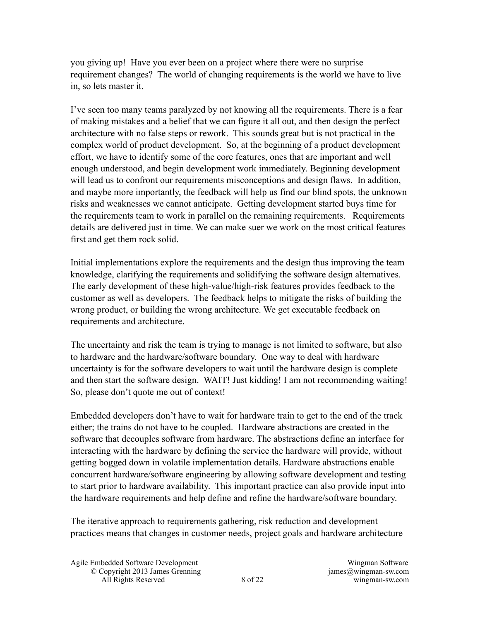you giving up! Have you ever been on a project where there were no surprise requirement changes? The world of changing requirements is the world we have to live in, so lets master it.

I've seen too many teams paralyzed by not knowing all the requirements. There is a fear of making mistakes and a belief that we can figure it all out, and then design the perfect architecture with no false steps or rework. This sounds great but is not practical in the complex world of product development. So, at the beginning of a product development effort, we have to identify some of the core features, ones that are important and well enough understood, and begin development work immediately. Beginning development will lead us to confront our requirements misconceptions and design flaws. In addition, and maybe more importantly, the feedback will help us find our blind spots, the unknown risks and weaknesses we cannot anticipate. Getting development started buys time for the requirements team to work in parallel on the remaining requirements. Requirements details are delivered just in time. We can make suer we work on the most critical features first and get them rock solid.

Initial implementations explore the requirements and the design thus improving the team knowledge, clarifying the requirements and solidifying the software design alternatives. The early development of these high-value/high-risk features provides feedback to the customer as well as developers. The feedback helps to mitigate the risks of building the wrong product, or building the wrong architecture. We get executable feedback on requirements and architecture.

The uncertainty and risk the team is trying to manage is not limited to software, but also to hardware and the hardware/software boundary. One way to deal with hardware uncertainty is for the software developers to wait until the hardware design is complete and then start the software design. WAIT! Just kidding! I am not recommending waiting! So, please don't quote me out of context!

Embedded developers don't have to wait for hardware train to get to the end of the track either; the trains do not have to be coupled. Hardware abstractions are created in the software that decouples software from hardware. The abstractions define an interface for interacting with the hardware by defining the service the hardware will provide, without getting bogged down in volatile implementation details. Hardware abstractions enable concurrent hardware/software engineering by allowing software development and testing to start prior to hardware availability. This important practice can also provide input into the hardware requirements and help define and refine the hardware/software boundary.

The iterative approach to requirements gathering, risk reduction and development practices means that changes in customer needs, project goals and hardware architecture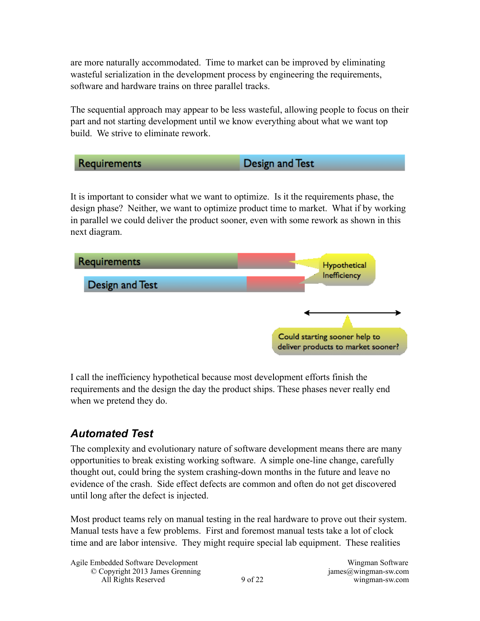are more naturally accommodated. Time to market can be improved by eliminating wasteful serialization in the development process by engineering the requirements, software and hardware trains on three parallel tracks.

The sequential approach may appear to be less wasteful, allowing people to focus on their part and not starting development until we know everything about what we want top build. We strive to eliminate rework.

Design and Test Requirements It is important to consider what we want to optimize. Is it the requirements phase, the design phase? Neither, we want to optimize product time to market. What if by working in parallel we could deliver the product sooner, even with some rework as shown in this next diagram. Requirements **Hypothetical** Inefficiency Design and Test

I call the inefficiency hypothetical because most development efforts finish the requirements and the design the day the product ships. These phases never really end when we pretend they do.

### *Automated Test*

The complexity and evolutionary nature of software development means there are many opportunities to break existing working software. A simple one-line change, carefully thought out, could bring the system crashing-down months in the future and leave no evidence of the crash. Side effect defects are common and often do not get discovered until long after the defect is injected.

Most product teams rely on manual testing in the real hardware to prove out their system. Manual tests have a few problems. First and foremost manual tests take a lot of clock time and are labor intensive. They might require special lab equipment. These realities

Could starting sooner help to deliver products to market sooner?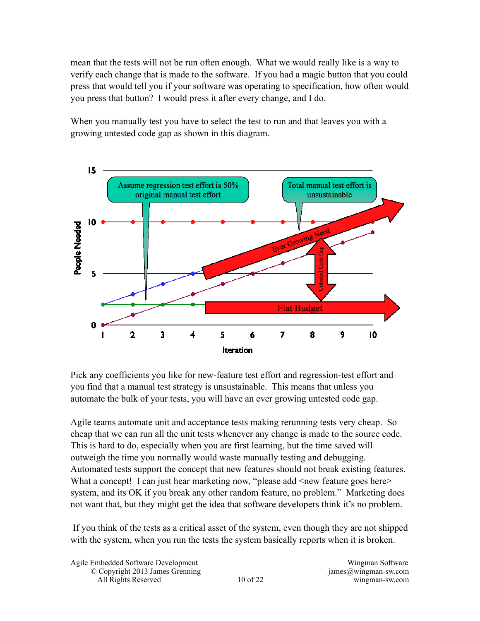mean that the tests will not be run often enough. What we would really like is a way to verify each change that is made to the software. If you had a magic button that you could press that would tell you if your software was operating to specification, how often would you press that button? I would press it after every change, and I do.

When you manually test you have to select the test to run and that leaves you with a growing untested code gap as shown in this diagram.



Pick any coefficients you like for new-feature test effort and regression-test effort and you find that a manual test strategy is unsustainable. This means that unless you automate the bulk of your tests, you will have an ever growing untested code gap.

Agile teams automate unit and acceptance tests making rerunning tests very cheap. So cheap that we can run all the unit tests whenever any change is made to the source code. This is hard to do, especially when you are first learning, but the time saved will outweigh the time you normally would waste manually testing and debugging. Automated tests support the concept that new features should not break existing features. What a concept! I can just hear marketing now, "please add <new feature goes here> system, and its OK if you break any other random feature, no problem." Marketing does not want that, but they might get the idea that software developers think it's no problem.

 If you think of the tests as a critical asset of the system, even though they are not shipped with the system, when you run the tests the system basically reports when it is broken.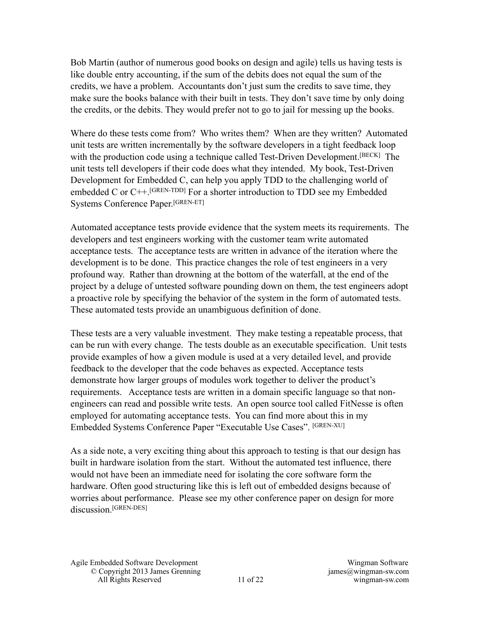Bob Martin (author of numerous good books on design and agile) tells us having tests is like double entry accounting, if the sum of the debits does not equal the sum of the credits, we have a problem. Accountants don't just sum the credits to save time, they make sure the books balance with their built in tests. They don't save time by only doing the credits, or the debits. They would prefer not to go to jail for messing up the books.

Where do these tests come from? Who writes them? When are they written? Automated unit tests are written incrementally by the software developers in a tight feedback loop with the production code using a technique called Test-Driven Development.<sup>[BECK]</sup> The unit tests tell developers if their code does what they intended. My book, Test-Driven Development for Embedded C, can help you apply TDD to the challenging world of embedded C or  $C++$ <sup>[GREN-TDD]</sup> For a shorter introduction to TDD see my Embedded Systems Conference Paper.[GREN-ET]

Automated acceptance tests provide evidence that the system meets its requirements. The developers and test engineers working with the customer team write automated acceptance tests. The acceptance tests are written in advance of the iteration where the development is to be done. This practice changes the role of test engineers in a very profound way. Rather than drowning at the bottom of the waterfall, at the end of the project by a deluge of untested software pounding down on them, the test engineers adopt a proactive role by specifying the behavior of the system in the form of automated tests. These automated tests provide an unambiguous definition of done.

These tests are a very valuable investment. They make testing a repeatable process, that can be run with every change. The tests double as an executable specification. Unit tests provide examples of how a given module is used at a very detailed level, and provide feedback to the developer that the code behaves as expected. Acceptance tests demonstrate how larger groups of modules work together to deliver the product's requirements. Acceptance tests are written in a domain specific language so that nonengineers can read and possible write tests. An open source tool called FitNesse is often employed for automating acceptance tests. You can find more about this in my Embedded Systems Conference Paper "Executable Use Cases". [GREN-XU]

As a side note, a very exciting thing about this approach to testing is that our design has built in hardware isolation from the start. Without the automated test influence, there would not have been an immediate need for isolating the core software form the hardware. Often good structuring like this is left out of embedded designs because of worries about performance. Please see my other conference paper on design for more discussion<sup>[GREN-DES]</sup>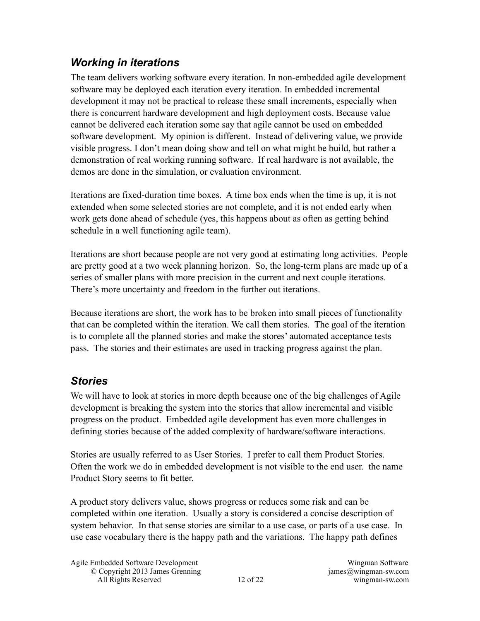#### *Working in iterations*

The team delivers working software every iteration. In non-embedded agile development software may be deployed each iteration every iteration. In embedded incremental development it may not be practical to release these small increments, especially when there is concurrent hardware development and high deployment costs. Because value cannot be delivered each iteration some say that agile cannot be used on embedded software development. My opinion is different. Instead of delivering value, we provide visible progress. I don't mean doing show and tell on what might be build, but rather a demonstration of real working running software. If real hardware is not available, the demos are done in the simulation, or evaluation environment.

Iterations are fixed-duration time boxes. A time box ends when the time is up, it is not extended when some selected stories are not complete, and it is not ended early when work gets done ahead of schedule (yes, this happens about as often as getting behind schedule in a well functioning agile team).

Iterations are short because people are not very good at estimating long activities. People are pretty good at a two week planning horizon. So, the long-term plans are made up of a series of smaller plans with more precision in the current and next couple iterations. There's more uncertainty and freedom in the further out iterations.

Because iterations are short, the work has to be broken into small pieces of functionality that can be completed within the iteration. We call them stories. The goal of the iteration is to complete all the planned stories and make the stores' automated acceptance tests pass. The stories and their estimates are used in tracking progress against the plan.

#### *Stories*

We will have to look at stories in more depth because one of the big challenges of Agile development is breaking the system into the stories that allow incremental and visible progress on the product. Embedded agile development has even more challenges in defining stories because of the added complexity of hardware/software interactions.

Stories are usually referred to as User Stories. I prefer to call them Product Stories. Often the work we do in embedded development is not visible to the end user. the name Product Story seems to fit better.

A product story delivers value, shows progress or reduces some risk and can be completed within one iteration. Usually a story is considered a concise description of system behavior. In that sense stories are similar to a use case, or parts of a use case. In use case vocabulary there is the happy path and the variations. The happy path defines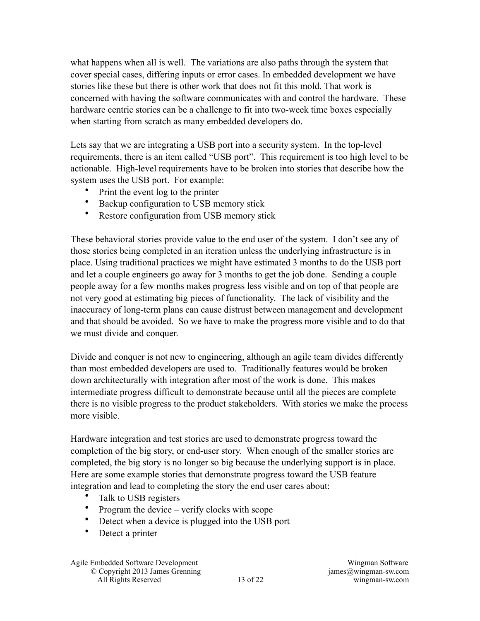what happens when all is well. The variations are also paths through the system that cover special cases, differing inputs or error cases. In embedded development we have stories like these but there is other work that does not fit this mold. That work is concerned with having the software communicates with and control the hardware. These hardware centric stories can be a challenge to fit into two-week time boxes especially when starting from scratch as many embedded developers do.

Lets say that we are integrating a USB port into a security system. In the top-level requirements, there is an item called "USB port". This requirement is too high level to be actionable. High-level requirements have to be broken into stories that describe how the system uses the USB port. For example:

- Print the event log to the printer
- Backup configuration to USB memory stick
- Restore configuration from USB memory stick

These behavioral stories provide value to the end user of the system. I don't see any of those stories being completed in an iteration unless the underlying infrastructure is in place. Using traditional practices we might have estimated 3 months to do the USB port and let a couple engineers go away for 3 months to get the job done. Sending a couple people away for a few months makes progress less visible and on top of that people are not very good at estimating big pieces of functionality. The lack of visibility and the inaccuracy of long-term plans can cause distrust between management and development and that should be avoided. So we have to make the progress more visible and to do that we must divide and conquer.

Divide and conquer is not new to engineering, although an agile team divides differently than most embedded developers are used to. Traditionally features would be broken down architecturally with integration after most of the work is done. This makes intermediate progress difficult to demonstrate because until all the pieces are complete there is no visible progress to the product stakeholders. With stories we make the process more visible.

Hardware integration and test stories are used to demonstrate progress toward the completion of the big story, or end-user story. When enough of the smaller stories are completed, the big story is no longer so big because the underlying support is in place. Here are some example stories that demonstrate progress toward the USB feature integration and lead to completing the story the end user cares about:

- Talk to USB registers
- Program the device verify clocks with scope
- Detect when a device is plugged into the USB port
- Detect a printer

Agile Embedded Software Development Wingman Software © Copyright 2013 James Grenning james@wingman-sw.com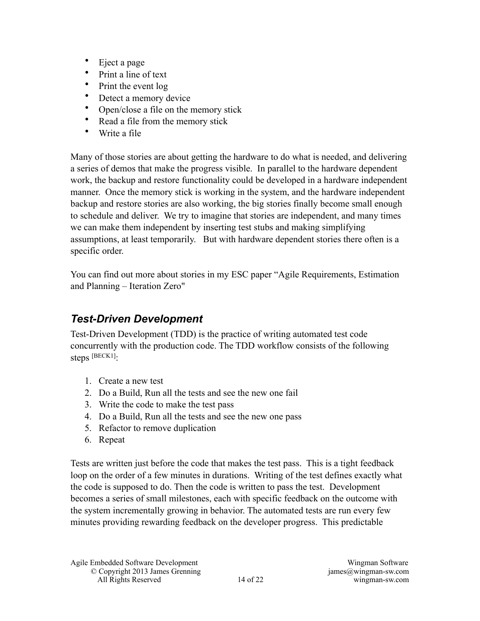- Eject a page
- Print a line of text
- Print the event log
- Detect a memory device
- Open/close a file on the memory stick
- Read a file from the memory stick
- Write a file

Many of those stories are about getting the hardware to do what is needed, and delivering a series of demos that make the progress visible. In parallel to the hardware dependent work, the backup and restore functionality could be developed in a hardware independent manner. Once the memory stick is working in the system, and the hardware independent backup and restore stories are also working, the big stories finally become small enough to schedule and deliver. We try to imagine that stories are independent, and many times we can make them independent by inserting test stubs and making simplifying assumptions, at least temporarily. But with hardware dependent stories there often is a specific order.

You can find out more about stories in my ESC paper "Agile Requirements, Estimation and Planning – Iteration Zero"

#### *Test-Driven Development*

Test-Driven Development (TDD) is the practice of writing automated test code concurrently with the production code. The TDD workflow consists of the following steps [BECK1]:

- 1. Create a new test
- 2. Do a Build, Run all the tests and see the new one fail
- 3. Write the code to make the test pass
- 4. Do a Build, Run all the tests and see the new one pass
- 5. Refactor to remove duplication
- 6. Repeat

Tests are written just before the code that makes the test pass. This is a tight feedback loop on the order of a few minutes in durations. Writing of the test defines exactly what the code is supposed to do. Then the code is written to pass the test. Development becomes a series of small milestones, each with specific feedback on the outcome with the system incrementally growing in behavior. The automated tests are run every few minutes providing rewarding feedback on the developer progress. This predictable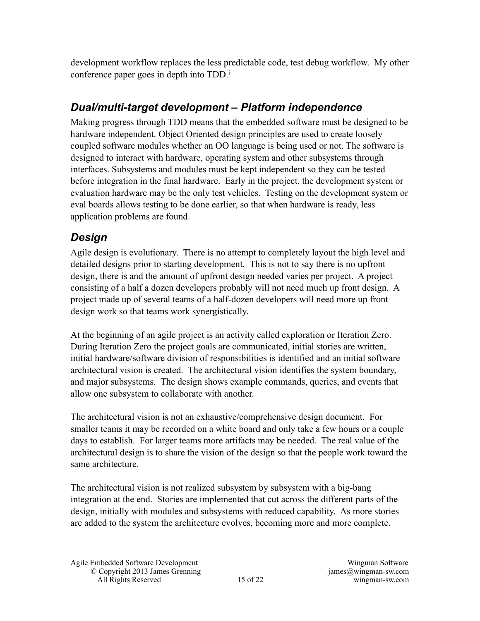development workflow replaces the less predictable code, test debug workflow. My other conference paper goes in depth into TDD.<sup>i</sup>

#### *Dual/multi-target development – Platform independence*

Making progress through TDD means that the embedded software must be designed to be hardware independent. Object Oriented design principles are used to create loosely coupled software modules whether an OO language is being used or not. The software is designed to interact with hardware, operating system and other subsystems through interfaces. Subsystems and modules must be kept independent so they can be tested before integration in the final hardware. Early in the project, the development system or evaluation hardware may be the only test vehicles. Testing on the development system or eval boards allows testing to be done earlier, so that when hardware is ready, less application problems are found.

#### *Design*

Agile design is evolutionary. There is no attempt to completely layout the high level and detailed designs prior to starting development. This is not to say there is no upfront design, there is and the amount of upfront design needed varies per project. A project consisting of a half a dozen developers probably will not need much up front design. A project made up of several teams of a half-dozen developers will need more up front design work so that teams work synergistically.

At the beginning of an agile project is an activity called exploration or Iteration Zero. During Iteration Zero the project goals are communicated, initial stories are written, initial hardware/software division of responsibilities is identified and an initial software architectural vision is created. The architectural vision identifies the system boundary, and major subsystems. The design shows example commands, queries, and events that allow one subsystem to collaborate with another.

The architectural vision is not an exhaustive/comprehensive design document. For smaller teams it may be recorded on a white board and only take a few hours or a couple days to establish. For larger teams more artifacts may be needed. The real value of the architectural design is to share the vision of the design so that the people work toward the same architecture.

The architectural vision is not realized subsystem by subsystem with a big-bang integration at the end. Stories are implemented that cut across the different parts of the design, initially with modules and subsystems with reduced capability. As more stories are added to the system the architecture evolves, becoming more and more complete.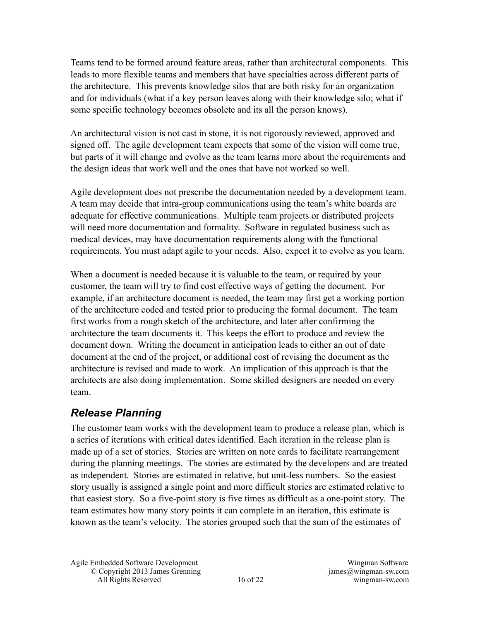Teams tend to be formed around feature areas, rather than architectural components. This leads to more flexible teams and members that have specialties across different parts of the architecture. This prevents knowledge silos that are both risky for an organization and for individuals (what if a key person leaves along with their knowledge silo; what if some specific technology becomes obsolete and its all the person knows).

An architectural vision is not cast in stone, it is not rigorously reviewed, approved and signed off. The agile development team expects that some of the vision will come true, but parts of it will change and evolve as the team learns more about the requirements and the design ideas that work well and the ones that have not worked so well.

Agile development does not prescribe the documentation needed by a development team. A team may decide that intra-group communications using the team's white boards are adequate for effective communications. Multiple team projects or distributed projects will need more documentation and formality. Software in regulated business such as medical devices, may have documentation requirements along with the functional requirements. You must adapt agile to your needs. Also, expect it to evolve as you learn.

When a document is needed because it is valuable to the team, or required by your customer, the team will try to find cost effective ways of getting the document. For example, if an architecture document is needed, the team may first get a working portion of the architecture coded and tested prior to producing the formal document. The team first works from a rough sketch of the architecture, and later after confirming the architecture the team documents it. This keeps the effort to produce and review the document down. Writing the document in anticipation leads to either an out of date document at the end of the project, or additional cost of revising the document as the architecture is revised and made to work. An implication of this approach is that the architects are also doing implementation. Some skilled designers are needed on every team.

#### *Release Planning*

The customer team works with the development team to produce a release plan, which is a series of iterations with critical dates identified. Each iteration in the release plan is made up of a set of stories. Stories are written on note cards to facilitate rearrangement during the planning meetings. The stories are estimated by the developers and are treated as independent. Stories are estimated in relative, but unit-less numbers. So the easiest story usually is assigned a single point and more difficult stories are estimated relative to that easiest story. So a five-point story is five times as difficult as a one-point story. The team estimates how many story points it can complete in an iteration, this estimate is known as the team's velocity. The stories grouped such that the sum of the estimates of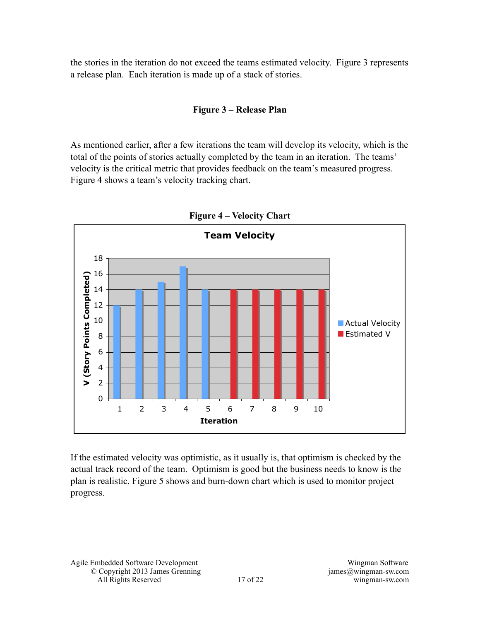the stories in the iteration do not exceed the teams estimated velocity. Figure 3 represents a release plan. Each iteration is made up of a stack of stories.

#### **Figure 3 – Release Plan**

As mentioned earlier, after a few iterations the team will develop its velocity, which is the total of the points of stories actually completed by the team in an iteration. The teams' velocity is the critical metric that provides feedback on the team's measured progress. Figure 4 shows a team's velocity tracking chart.



**Figure 4 – Velocity Chart**

If the estimated velocity was optimistic, as it usually is, that optimism is checked by the actual track record of the team. Optimism is good but the business needs to know is the plan is realistic. Figure 5 shows and burn-down chart which is used to monitor project progress.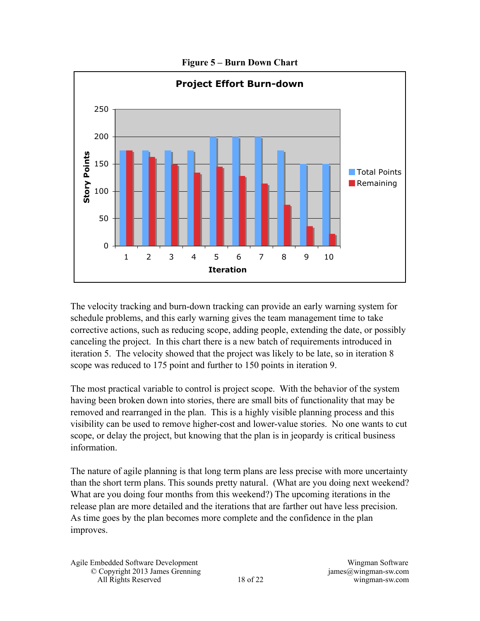

**Figure 5 – Burn Down Chart** 

The velocity tracking and burn-down tracking can provide an early warning system for schedule problems, and this early warning gives the team management time to take corrective actions, such as reducing scope, adding people, extending the date, or possibly canceling the project. In this chart there is a new batch of requirements introduced in iteration 5. The velocity showed that the project was likely to be late, so in iteration 8 scope was reduced to 175 point and further to 150 points in iteration 9.

The most practical variable to control is project scope. With the behavior of the system having been broken down into stories, there are small bits of functionality that may be removed and rearranged in the plan. This is a highly visible planning process and this visibility can be used to remove higher-cost and lower-value stories. No one wants to cut scope, or delay the project, but knowing that the plan is in jeopardy is critical business information.

The nature of agile planning is that long term plans are less precise with more uncertainty than the short term plans. This sounds pretty natural. (What are you doing next weekend? What are you doing four months from this weekend?) The upcoming iterations in the release plan are more detailed and the iterations that are farther out have less precision. As time goes by the plan becomes more complete and the confidence in the plan improves.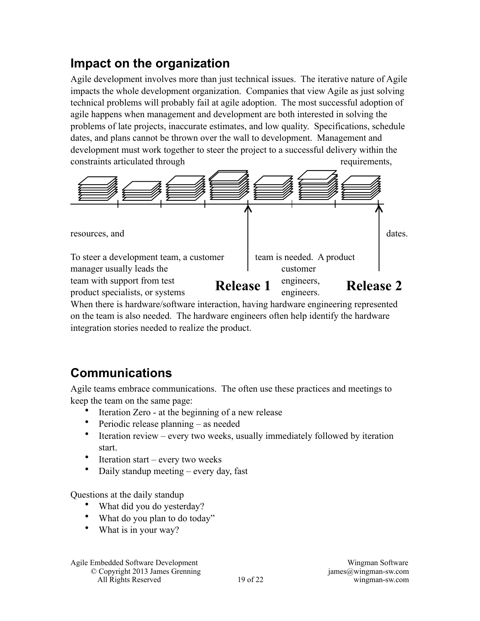## **Impact on the organization**

Agile development involves more than just technical issues. The iterative nature of Agile impacts the whole development organization. Companies that view Agile as just solving technical problems will probably fail at agile adoption. The most successful adoption of agile happens when management and development are both interested in solving the problems of late projects, inaccurate estimates, and low quality. Specifications, schedule dates, and plans cannot be thrown over the wall to development. Management and development must work together to steer the project to a successful delivery within the constraints articulated through requirements,



When there is hardware/software interaction, having hardware engineering represented on the team is also needed. The hardware engineers often help identify the hardware integration stories needed to realize the product.

## **Communications**

Agile teams embrace communications. The often use these practices and meetings to keep the team on the same page:

- Iteration Zero at the beginning of a new release
- Periodic release planning as needed
- Iteration review every two weeks, usually immediately followed by iteration start.
- Iteration start every two weeks
- Daily standup meeting every day, fast

Questions at the daily standup

- What did you do yesterday?
- What do you plan to do today"
- What is in your way?

Agile Embedded Software Development Wingman Software

© Copyright 2013 James Grenning james@wingman-sw.com All Rights Reserved 19 of 22 wingman-sw.com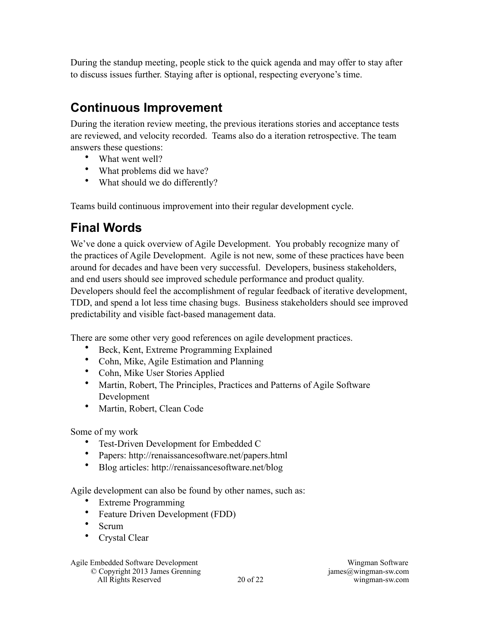During the standup meeting, people stick to the quick agenda and may offer to stay after to discuss issues further. Staying after is optional, respecting everyone's time.

# **Continuous Improvement**

During the iteration review meeting, the previous iterations stories and acceptance tests are reviewed, and velocity recorded. Teams also do a iteration retrospective. The team answers these questions:

- What went well?
- What problems did we have?
- What should we do differently?

Teams build continuous improvement into their regular development cycle.

# **Final Words**

We've done a quick overview of Agile Development. You probably recognize many of the practices of Agile Development. Agile is not new, some of these practices have been around for decades and have been very successful. Developers, business stakeholders, and end users should see improved schedule performance and product quality. Developers should feel the accomplishment of regular feedback of iterative development, TDD, and spend a lot less time chasing bugs. Business stakeholders should see improved predictability and visible fact-based management data.

There are some other very good references on agile development practices.

- Beck, Kent, Extreme Programming Explained
- Cohn, Mike, Agile Estimation and Planning
- Cohn, Mike User Stories Applied
- Martin, Robert, The Principles, Practices and Patterns of Agile Software Development
- Martin, Robert, Clean Code

Some of my work

- Test-Driven Development for Embedded C
- Papers: http://renaissancesoftware.net/papers.html
- Blog articles: http://renaissancesoftware.net/blog

Agile development can also be found by other names, such as:

- Extreme Programming
- Feature Driven Development (FDD)
- Scrum
- Crystal Clear

#### Agile Embedded Software Development Wingman Software

© Copyright 2013 James Grenning james@wingman-sw.com All Rights Reserved 20 of 22 wingman-sw.com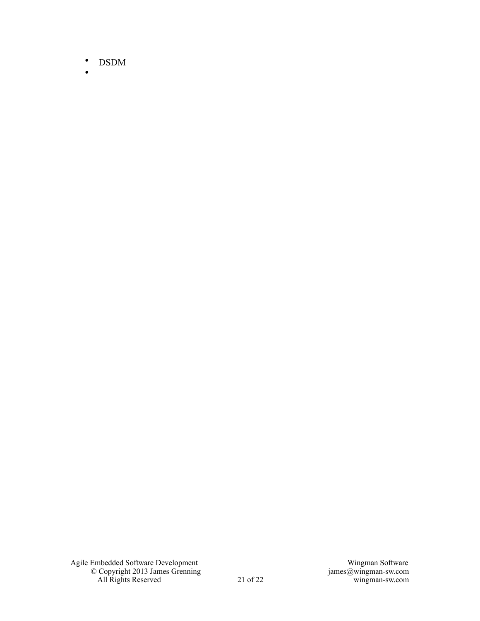- DSDM
- •